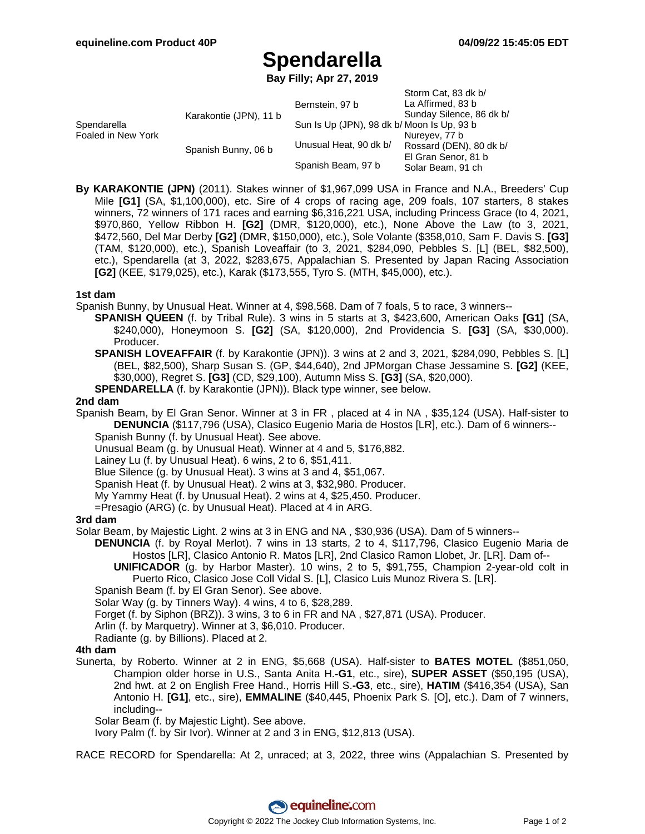$C_{\text{form}}$   $C_{\text{at}}$ , 83 dk b/

# **Spendarella**

**Bay Filly; Apr 27, 2019**

|                                   |                        |                                            | <b>JIUIIII CAL OJ UN DI</b> |
|-----------------------------------|------------------------|--------------------------------------------|-----------------------------|
| Spendarella<br>Foaled in New York | Karakontie (JPN), 11 b | Bernstein, 97 b                            | La Affirmed, 83 b           |
|                                   |                        |                                            | Sunday Silence, 86 dk b/    |
|                                   |                        | Sun Is Up (JPN), 98 dk b/ Moon Is Up, 93 b |                             |
|                                   | Spanish Bunny, 06 b    |                                            | Nureyev, 77 b               |
|                                   |                        | Unusual Heat, 90 dk b/                     | Rossard (DEN), 80 dk b/     |
|                                   |                        |                                            | El Gran Senor, 81 b         |
|                                   |                        | Spanish Beam, 97 b                         | Solar Beam, 91 ch           |
|                                   |                        |                                            |                             |

**By KARAKONTIE (JPN)** (2011). Stakes winner of \$1,967,099 USA in France and N.A., Breeders' Cup Mile **[G1]** (SA, \$1,100,000), etc. Sire of 4 crops of racing age, 209 foals, 107 starters, 8 stakes winners, 72 winners of 171 races and earning \$6,316,221 USA, including Princess Grace (to 4, 2021, \$970,860, Yellow Ribbon H. **[G2]** (DMR, \$120,000), etc.), None Above the Law (to 3, 2021, \$472,560, Del Mar Derby **[G2]** (DMR, \$150,000), etc.), Sole Volante (\$358,010, Sam F. Davis S. **[G3]** (TAM, \$120,000), etc.), Spanish Loveaffair (to 3, 2021, \$284,090, Pebbles S. [L] (BEL, \$82,500), etc.), Spendarella (at 3, 2022, \$283,675, Appalachian S. Presented by Japan Racing Association **[G2]** (KEE, \$179,025), etc.), Karak (\$173,555, Tyro S. (MTH, \$45,000), etc.).

### **1st dam**

Spanish Bunny, by Unusual Heat. Winner at 4, \$98,568. Dam of 7 foals, 5 to race, 3 winners--

- **SPANISH QUEEN** (f. by Tribal Rule). 3 wins in 5 starts at 3, \$423,600, American Oaks **[G1]** (SA, \$240,000), Honeymoon S. **[G2]** (SA, \$120,000), 2nd Providencia S. **[G3]** (SA, \$30,000). Producer.
- **SPANISH LOVEAFFAIR** (f. by Karakontie (JPN)). 3 wins at 2 and 3, 2021, \$284,090, Pebbles S. [L] (BEL, \$82,500), Sharp Susan S. (GP, \$44,640), 2nd JPMorgan Chase Jessamine S. **[G2]** (KEE, \$30,000), Regret S. **[G3]** (CD, \$29,100), Autumn Miss S. **[G3]** (SA, \$20,000).

**SPENDARELLA** (f. by Karakontie (JPN)). Black type winner, see below.

#### **2nd dam**

Spanish Beam, by El Gran Senor. Winner at 3 in FR , placed at 4 in NA , \$35,124 (USA). Half-sister to **DENUNCIA** (\$117,796 (USA), Clasico Eugenio Maria de Hostos [LR], etc.). Dam of 6 winners--

- Spanish Bunny (f. by Unusual Heat). See above.
- Unusual Beam (g. by Unusual Heat). Winner at 4 and 5, \$176,882.

Lainey Lu (f. by Unusual Heat). 6 wins, 2 to 6, \$51,411.

Blue Silence (g. by Unusual Heat). 3 wins at 3 and 4, \$51,067.

Spanish Heat (f. by Unusual Heat). 2 wins at 3, \$32,980. Producer.

My Yammy Heat (f. by Unusual Heat). 2 wins at 4, \$25,450. Producer.

=Presagio (ARG) (c. by Unusual Heat). Placed at 4 in ARG.

#### **3rd dam**

Solar Beam, by Majestic Light. 2 wins at 3 in ENG and NA , \$30,936 (USA). Dam of 5 winners--

- **DENUNCIA** (f. by Royal Merlot). 7 wins in 13 starts, 2 to 4, \$117,796, Clasico Eugenio Maria de Hostos [LR], Clasico Antonio R. Matos [LR], 2nd Clasico Ramon Llobet, Jr. [LR]. Dam of-- **UNIFICADOR** (g. by Harbor Master). 10 wins, 2 to 5, \$91,755, Champion 2-year-old colt in
	- Puerto Rico, Clasico Jose Coll Vidal S. [L], Clasico Luis Munoz Rivera S. [LR].

Spanish Beam (f. by El Gran Senor). See above.

Solar Way (g. by Tinners Way). 4 wins, 4 to 6, \$28,289.

- Forget (f. by Siphon (BRZ)). 3 wins, 3 to 6 in FR and NA , \$27,871 (USA). Producer.
- Arlin (f. by Marquetry). Winner at 3, \$6,010. Producer.
- Radiante (g. by Billions). Placed at 2.

#### **4th dam**

Sunerta, by Roberto. Winner at 2 in ENG, \$5,668 (USA). Half-sister to **BATES MOTEL** (\$851,050, Champion older horse in U.S., Santa Anita H.**-G1**, etc., sire), **SUPER ASSET** (\$50,195 (USA), 2nd hwt. at 2 on English Free Hand., Horris Hill S.**-G3**, etc., sire), **HATIM** (\$416,354 (USA), San Antonio H. **[G1]**, etc., sire), **EMMALINE** (\$40,445, Phoenix Park S. [O], etc.). Dam of 7 winners, including--

Solar Beam (f. by Majestic Light). See above.

Ivory Palm (f. by Sir Ivor). Winner at 2 and 3 in ENG, \$12,813 (USA).

RACE RECORD for Spendarella: At 2, unraced; at 3, 2022, three wins (Appalachian S. Presented by